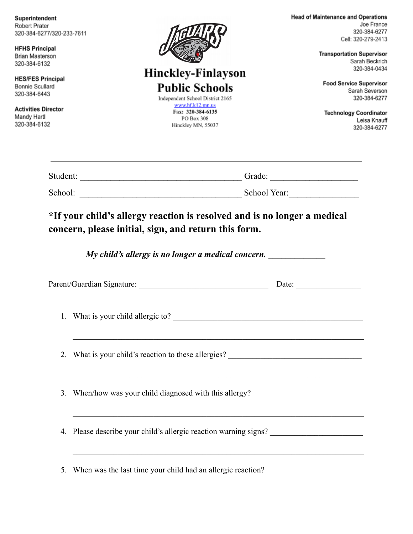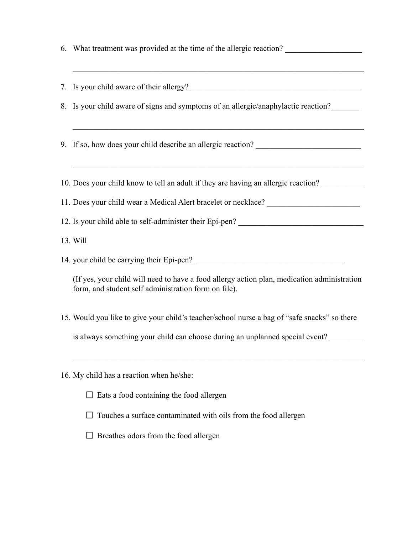|  | 6. What treatment was provided at the time of the allergic reaction? |  |
|--|----------------------------------------------------------------------|--|
|  |                                                                      |  |

| 8. Is your child aware of signs and symptoms of an allergic/anaphylactic reaction?                                                                  |  |  |
|-----------------------------------------------------------------------------------------------------------------------------------------------------|--|--|
| 9. If so, how does your child describe an allergic reaction?                                                                                        |  |  |
| 10. Does your child know to tell an adult if they are having an allergic reaction?                                                                  |  |  |
| 11. Does your child wear a Medical Alert bracelet or necklace? _________________                                                                    |  |  |
| 12. Is your child able to self-administer their Epi-pen? _______________________                                                                    |  |  |
| 13. Will                                                                                                                                            |  |  |
|                                                                                                                                                     |  |  |
| (If yes, your child will need to have a food allergy action plan, medication administration<br>form, and student self administration form on file). |  |  |
| 15. Would you like to give your child's teacher/school nurse a bag of "safe snacks" so there                                                        |  |  |
| is always something your child can choose during an unplanned special event?                                                                        |  |  |
|                                                                                                                                                     |  |  |

16. My child has a reaction when he/she:

 $\Box$  <br> Eats a food containing the food allergen

 $\Box$  Touches a surface contaminated with oils from the food allergen

 $\Box$  <br> Breathes odors from the food allergen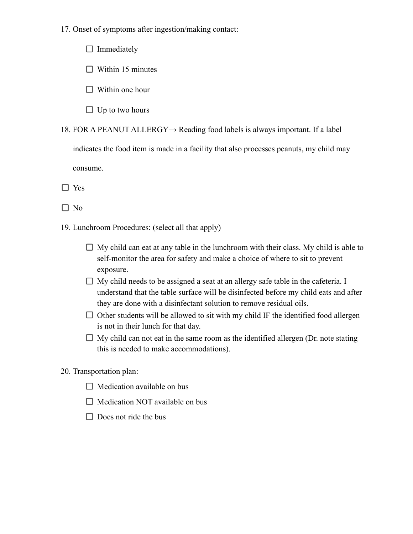17. Onset of symptoms after ingestion/making contact:

 $\Box$  Immediately

 $\Box$  Within 15 minutes

 $\Box$  Within one hour

 $\Box$  Up to two hours

18. FOR A PEANUT ALLERGY→ Reading food labels is always important. If a label

indicates the food item is made in a facility that also processes peanuts, my child may

consume.

□ Yes

 $\square$  No

19. Lunchroom Procedures: (select all that apply)

- $\Box$  My child can eat at any table in the lunchroom with their class. My child is able to self-monitor the area for safety and make a choice of where to sit to prevent exposure.
- $\Box$  My child needs to be assigned a seat at an allergy safe table in the cafeteria. I understand that the table surface will be disinfected before my child eats and after they are done with a disinfectant solution to remove residual oils.
- $\Box$  Other students will be allowed to sit with my child IF the identified food allergen is not in their lunch for that day.
- $\Box$  My child can not eat in the same room as the identified allergen (Dr. note stating this is needed to make accommodations).

## 20. Transportation plan:

- $\Box$  Medication available on bus
- $\Box$  Medication NOT available on bus
- $\Box$  Does not ride the bus